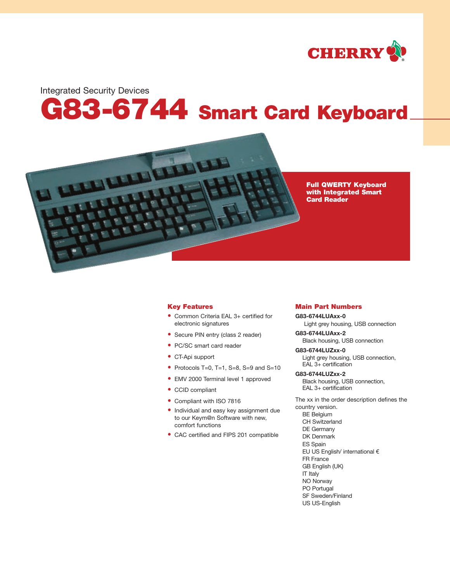

Integrated Security Devices

# **G83-6744 Smart Card Keyboard**



**Full QWERTY Keyboard with Integrated Smart Card Reader**

# **Key Features**

- **•** Common Criteria EAL 3+ certified for electronic signatures
- **•** Secure PIN entry (class 2 reader)
- **•** PC/SC smart card reader
- **•** CT-Api support
- **•** Protocols T=0, T=1, S=8, S=9 and S=10
- **•** EMV 2000 Terminal level 1 approved
- **•** CCID compliant
- **•** Compliant with ISO 7816
- **•** Individual and easy key assignment due to our Keym@n Software with new, comfort functions
- **•** CAC certified and FIPS 201 compatible

# **Main Part Numbers**

**G83-6744LUAxx-0** Light grey housing, USB connection

**G83-6744LUAxx-2** Black housing, USB connection

**G83-6744LUZxx-0** Light grey housing, USB connection, EAL 3+ certification

**G83-6744LUZxx-2** Black housing, USB connection, EAL 3+ certification

The xx in the order description defines the country version. BE Belgium CH Switzerland DE Germany DK Denmark ES Spain EU US English/ international € FR France GB English (UK) IT Italy NO Norway PO Portugal SF Sweden/Finland

US US-English